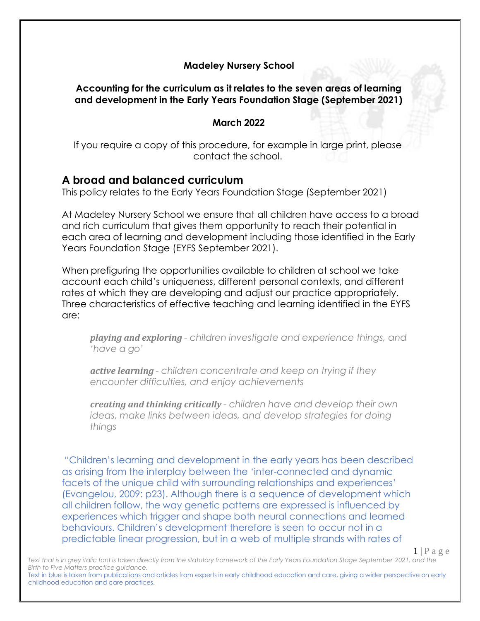#### **Madeley Nursery School**

#### **Accounting for the curriculum as it relates to the seven areas of learning and development in the Early Years Foundation Stage (September 2021)**

#### **March 2022**

If you require a copy of this procedure, for example in large print, please contact the school.

#### **A broad and balanced curriculum**

This policy relates to the Early Years Foundation Stage (September 2021)

At Madeley Nursery School we ensure that all children have access to a broad and rich curriculum that gives them opportunity to reach their potential in each area of learning and development including those identified in the Early Years Foundation Stage (EYFS September 2021).

When prefiguring the opportunities available to children at school we take account each child's uniqueness, different personal contexts, and different rates at which they are developing and adjust our practice appropriately. Three characteristics of effective teaching and learning identified in the EYFS are:

*playing and exploring - children investigate and experience things, and 'have a go'*

*active learning - children concentrate and keep on trying if they encounter difficulties, and enjoy achievements*

*creating and thinking critically - children have and develop their own ideas, make links between ideas, and develop strategies for doing things*

"Children's learning and development in the early years has been described as arising from the interplay between the 'inter-connected and dynamic facets of the unique child with surrounding relationships and experiences' (Evangelou, 2009: p23). Although there is a sequence of development which all children follow, the way genetic patterns are expressed is influenced by experiences which trigger and shape both neural connections and learned behaviours. Children's development therefore is seen to occur not in a predictable linear progression, but in a web of multiple strands with rates of

 $1 | P a g e$ 

Text that is in grey italic font is taken directly from the statutory framework of the Early Years Foundation Stage September 2021, and the *Birth to Five Matters practice guidance.*

Text in blue is taken from publications and articles from experts in early childhood education and care, giving a wider perspective on early childhood education and care practices.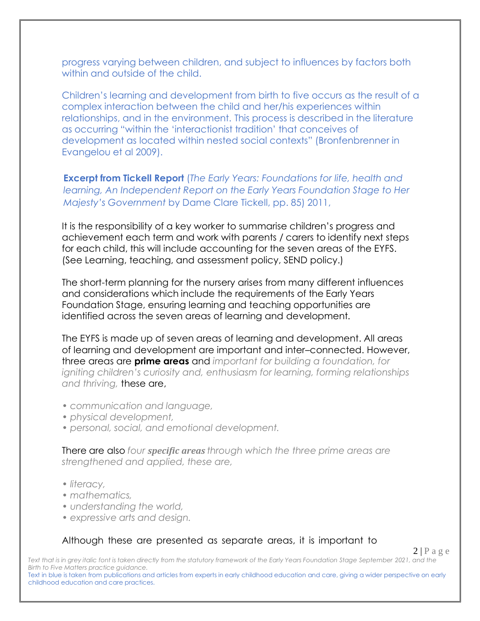progress varying between children, and subject to influences by factors both within and outside of the child.

Children's learning and development from birth to five occurs as the result of a complex interaction between the child and her/his experiences within relationships, and in the environment. This process is described in the literature as occurring "within the 'interactionist tradition' that conceives of development as located within nested social contexts" (Bronfenbrenner in Evangelou et al 2009).

**Excerpt from Tickell Report** (*The Early Years: Foundations for life, health and learning, An Independent Report on the Early Years Foundation Stage to Her Majesty's Government* by Dame Clare Tickell, pp. 85) 2011,

It is the responsibility of a key worker to summarise children's progress and achievement each term and work with parents / carers to identify next steps for each child, this will include accounting for the seven areas of the EYFS. (See Learning, teaching, and assessment policy, SEND policy.)

The short-term planning for the nursery arises from many different influences and considerations which include the requirements of the Early Years Foundation Stage, ensuring learning and teaching opportunities are identified across the seven areas of learning and development.

The EYFS is made up of seven areas of learning and development. All areas of learning and development are important and inter–connected. However, three areas are **prime areas** and *important for building a foundation, for igniting children's curiosity and, enthusiasm for learning, forming relationships and thriving,* these are,

- *communication and language,*
- *• physical development,*
- *• personal, social, and emotional development.*

There are also *four specific areas through which the three prime areas are strengthened and applied, these are,*

- *• literacy,*
- *• mathematics,*
- *• understanding the world,*
- *• expressive arts and design.*

#### Although these are presented as separate areas, it is important to

 $2|P \text{ a } \text{g} \text{ e}$ 

Text that is in grey italic font is taken directly from the statutory framework of the Early Years Foundation Stage September 2021, and the *Birth to Five Matters practice guidance.*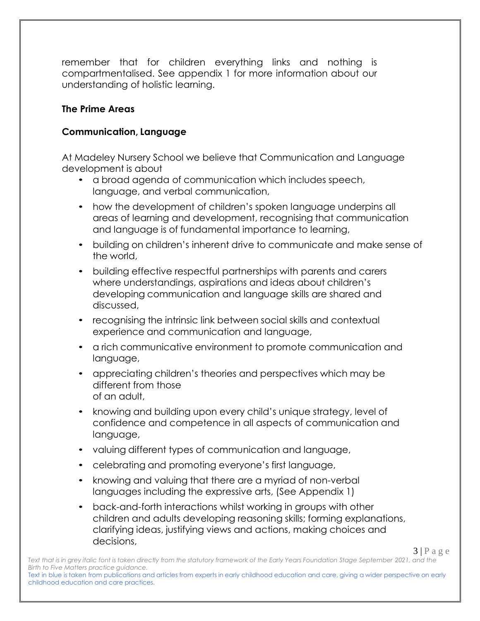remember that for children everything links and nothing is compartmentalised. See appendix 1 for more information about our understanding of holistic learning.

# **The Prime Areas**

#### **Communication, Language**

At Madeley Nursery School we believe that Communication and Language development is about

- a broad agenda of communication which includes speech, language, and verbal communication,
- how the development of children's spoken language underpins all areas of learning and development, recognising that communication and language is of fundamental importance to learning,
- building on children's inherent drive to communicate and make sense of the world,
- building effective respectful partnerships with parents and carers where understandings, aspirations and ideas about children's developing communication and language skills are shared and discussed,
- recognising the intrinsic link between social skills and contextual experience and communication and language,
- a rich communicative environment to promote communication and language,
- appreciating children's theories and perspectives which may be different from those of an adult,
- knowing and building upon every child's unique strategy, level of confidence and competence in all aspects of communication and language,
- valuing different types of communication and language,
- celebrating and promoting everyone's first language,
- knowing and valuing that there are a myriad of non-verbal languages including the expressive arts, (See Appendix 1)
- back-and-forth interactions whilst working in groups with other children and adults developing reasoning skills; forming explanations, clarifying ideas, justifying views and actions, making choices and decisions,

 $3 | P a g e$ 

Text that is in grey italic font is taken directly from the statutory framework of the Early Years Foundation Stage September 2021, and the *Birth to Five Matters practice guidance.* Text in blue is taken from publications and articles from experts in early childhood education and care, giving a wider perspective on early childhood education and care practices.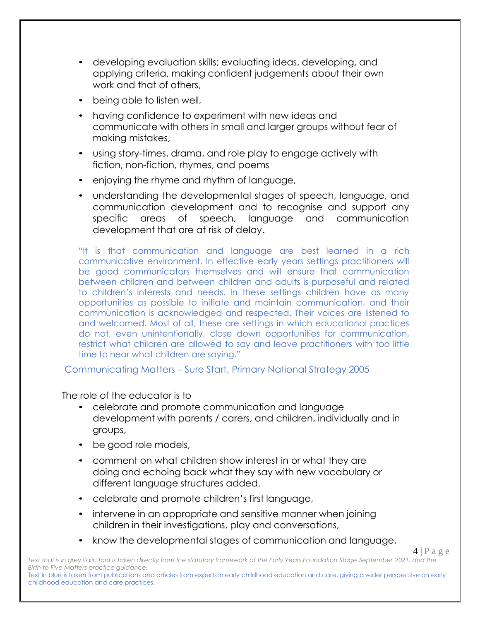- developing evaluation skills; evaluating ideas, developing, and applying criteria, making confident judgements about their own work and that of others,
- being able to listen well,
- having confidence to experiment with new ideas and communicate with others in small and larger groups without fear of making mistakes,
- using story-times, drama, and role play to engage actively with fiction, non-fiction, rhymes, and poems
- enjoying the rhyme and rhythm of language,
- understanding the developmental stages of speech, language, and communication development and to recognise and support any specific areas of speech, language and communication development that are at risk of delay.

"It is that communication and language are best learned in a rich communicative environment. In effective early years settings practitioners will be good communicators themselves and will ensure that communication between children and between children and adults is purposeful and related to children's interests and needs. In these settings children have as many opportunities as possible to initiate and maintain communication, and their communication is acknowledged and respected. Their voices are listened to and welcomed. Most of all, these are settings in which educational practices do not, even unintentionally, close down opportunities for communication, restrict what children are allowed to say and leave practitioners with too little time to hear what children are saying."

Communicating Matters – Sure Start, Primary National Strategy 2005

The role of the educator is to

- celebrate and promote communication and language development with parents / carers, and children, individually and in groups,
- be good role models,
- comment on what children show interest in or what they are doing and echoing back what they say with new vocabulary or different language structures added.
- celebrate and promote children's first language,
- intervene in an appropriate and sensitive manner when joining children in their investigations, play and conversations,
- know the developmental stages of communication and language,

 $4 | P a e e$ 

Text that is in grey italic font is taken directly from the statutory framework of the Early Years Foundation Stage September 2021, and the *Birth to Five Matters practice guidance.*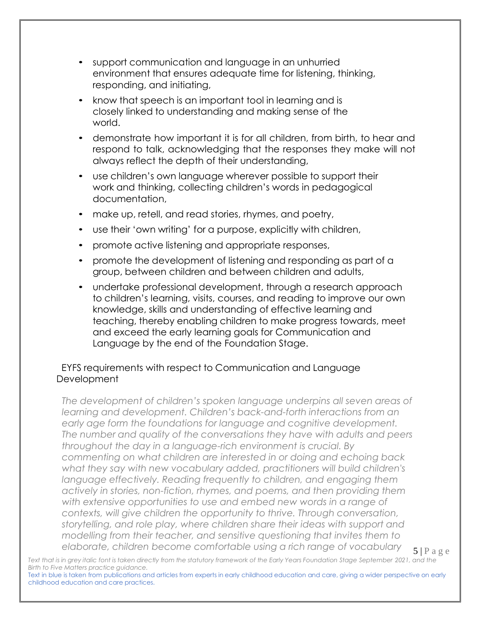- support communication and language in an unhurried environment that ensures adequate time for listening, thinking, responding, and initiating,
- know that speech is an important tool in learning and is closely linked to understanding and making sense of the world.
- demonstrate how important it is for all children, from birth, to hear and respond to talk, acknowledging that the responses they make will not always reflect the depth of their understanding,
- use children's own language wherever possible to support their work and thinking, collecting children's words in pedagogical documentation,
- make up, retell, and read stories, rhymes, and poetry,
- use their 'own writing' for a purpose, explicitly with children,
- promote active listening and appropriate responses,
- promote the development of listening and responding as part of a group, between children and between children and adults,
- undertake professional development, through a research approach to children's learning, visits, courses, and reading to improve our own knowledge, skills and understanding of effective learning and teaching, thereby enabling children to make progress towards, meet and exceed the early learning goals for Communication and Language by the end of the Foundation Stage.

# EYFS requirements with respect to Communication and Language **Development**

 $5|P$  a g e *The development of children's spoken language underpins all seven areas of learning and development. Children's back-and-forth interactions from an early age form the foundations for language and cognitive development. The number and quality of the conversations they have with adults and peers throughout the day in a language-rich environment is crucial. By commenting on what children are interested in or doing and echoing back what they say with new vocabulary added, practitioners will build children's language effectively. Reading frequently to children, and engaging them actively in stories, non-fiction, rhymes, and poems, and then providing them with extensive opportunities to use and embed new words in a range of contexts, will give children the opportunity to thrive. Through conversation, storytelling, and role play, where children share their ideas with support and modelling from their teacher, and sensitive questioning that invites them to elaborate, children become comfortable using a rich range of vocabulary* 

Text that is in grey italic font is taken directly from the statutory framework of the Early Years Foundation Stage September 2021, and the *Birth to Five Matters practice guidance.*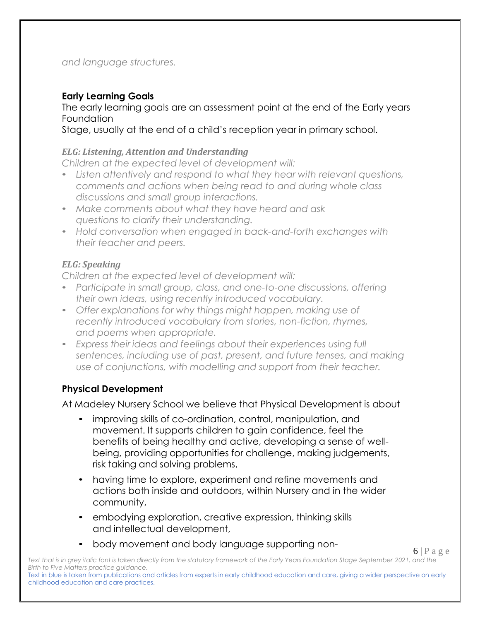#### *and language structures.*

# **Early Learning Goals**

The early learning goals are an assessment point at the end of the Early years **Foundation** 

Stage, usually at the end of a child's reception year in primary school.

#### *ELG: Listening, Attention and Understanding*

*Children at the expected level of development will:*

- *Listen attentively and respond to what they hear with relevant questions, comments and actions when being read to and during whole class discussions and small group interactions.*
- *Make comments about what they have heard and ask questions to clarify their understanding.*
- *Hold conversation when engaged in back-and-forth exchanges with their teacher and peers.*

#### *ELG: Speaking*

*Children at the expected level of development will:*

- *Participate in small group, class, and one-to-one discussions, offering their own ideas, using recently introduced vocabulary.*
- *Offer explanations for why things might happen, making use of recently introduced vocabulary from stories, non-fiction, rhymes, and poems when appropriate.*
- *Express their ideas and feelings about their experiences using full sentences, including use of past, present, and future tenses, and making use of conjunctions, with modelling and support from their teacher.*

#### **Physical Development**

At Madeley Nursery School we believe that Physical Development is about

- improving skills of co-ordination, control, manipulation, and movement. It supports children to gain confidence, feel the benefits of being healthy and active, developing a sense of wellbeing, providing opportunities for challenge, making judgements, risk taking and solving problems,
- having time to explore, experiment and refine movements and actions both inside and outdoors, within Nursery and in the wider community,
- embodying exploration, creative expression, thinking skills and intellectual development,
- body movement and body language supporting non-

 $6 | P a e e$ 

Text that is in grey italic font is taken directly from the statutory framework of the Early Years Foundation Stage September 2021, and the *Birth to Five Matters practice guidance.*

Text in blue is taken from publications and articles from experts in early childhood education and care, giving a wider perspective on early childhood education and care practices.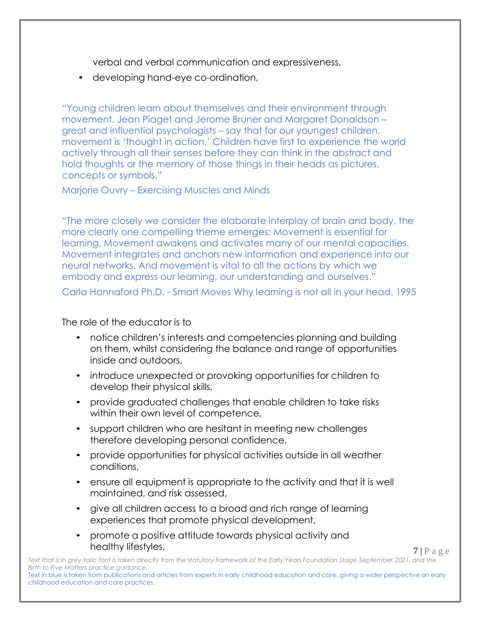verbal and verbal communication and expressiveness,

• developing hand-eye co-ordination,

"Young children learn about themselves and their environment through movement. Jean Piaget and Jerome Bruner and Margaret Donaldson – great and influential psychologists – say that for our youngest children, movement is 'thought in action.' Children have first to experience the world actively through all their senses before they can think in the abstract and hold thoughts or the memory of those things in their heads as pictures, concepts or symbols."

Marjorie Ouvry – Exercising Muscles and Minds

"The more closely we consider the elaborate interplay of brain and body, the more clearly one compelling theme emerges: Movement is essential for learning. Movement awakens and activates many of our mental capacities. Movement integrates and anchors new information and experience into our neural networks. And movement is vital to all the actions by which we embody and express our learning, our understanding and ourselves."

Carla Hannaford Ph.D. - Smart Moves Why learning is not all in your head. 1995

The role of the educator is to

- notice children's interests and competencies planning and building on them, whilst considering the balance and range of opportunities inside and outdoors,
- introduce unexpected or provoking opportunities for children to develop their physical skills,
- provide graduated challenges that enable children to take risks within their own level of competence,
- support children who are hesitant in meeting new challenges therefore developing personal confidence,
- provide opportunities for physical activities outside in all weather conditions,
- ensure all equipment is appropriate to the activity and that it is well maintained, and risk assessed,
- give all children access to a broad and rich range of learning experiences that promote physical development,
- promote a positive attitude towards physical activity and healthy lifestyles,

 $7 | P a e e$ 

Text that is in grey italic font is taken directly from the statutory framework of the Early Years Foundation Stage September 2021, and the *Birth to Five Matters practice guidance.* Text in blue is taken from publications and articles from experts in early childhood education and care, giving a wider perspective on early childhood education and care practices.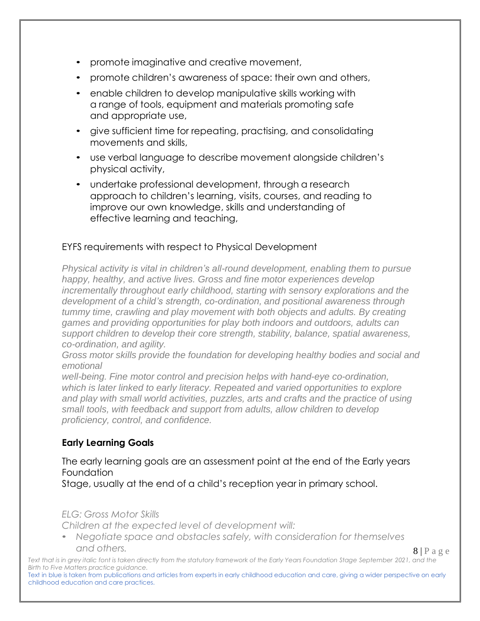- promote imaginative and creative movement,
- promote children's awareness of space: their own and others,
- enable children to develop manipulative skills working with a range of tools, equipment and materials promoting safe and appropriate use,
- give sufficient time for repeating, practising, and consolidating movements and skills,
- use verbal language to describe movement alongside children's physical activity,
- undertake professional development, through a research approach to children's learning, visits, courses, and reading to improve our own knowledge, skills and understanding of effective learning and teaching,

# EYFS requirements with respect to Physical Development

*Physical activity is vital in children's all-round development, enabling them to pursue happy, healthy, and active lives. Gross and fine motor experiences develop incrementally throughout early childhood, starting with sensory explorations and the development of a child's strength, co-ordination, and positional awareness through tummy time, crawling and play movement with both objects and adults. By creating games and providing opportunities for play both indoors and outdoors, adults can support children to develop their core strength, stability, balance, spatial awareness, co-ordination, and agility.*

*Gross motor skills provide the foundation for developing healthy bodies and social and emotional*

*well-being. Fine motor control and precision helps with hand-eye co-ordination, which is later linked to early literacy. Repeated and varied opportunities to explore and play with small world activities, puzzles, arts and crafts and the practice of using small tools, with feedback and support from adults, allow children to develop proficiency, control, and confidence.*

# **Early Learning Goals**

# The early learning goals are an assessment point at the end of the Early years Foundation

Stage, usually at the end of a child's reception year in primary school.

#### *ELG: Gross Motor Skills*

*Children at the expected level of development will:*

• *Negotiate space and obstacles safely, with consideration for themselves and others.*

 $8 | P a \ge e$ 

Text that is in grey italic font is taken directly from the statutory framework of the Early Years Foundation Stage September 2021, and the *Birth to Five Matters practice guidance.*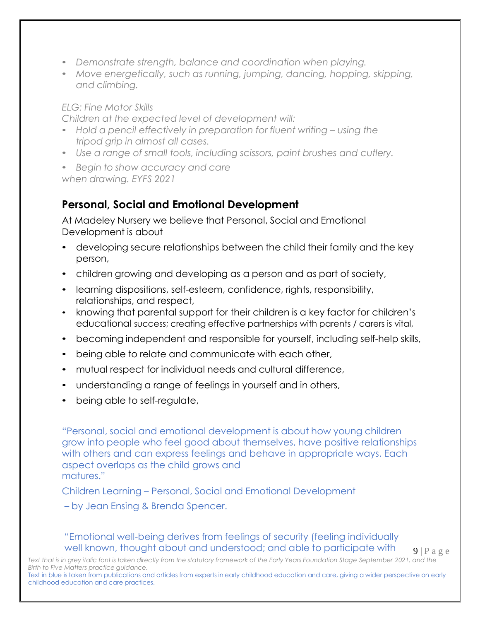- *Demonstrate strength, balance and coordination when playing.*
- *Move energetically, such as running, jumping, dancing, hopping, skipping, and climbing.*

#### *ELG: Fine Motor Skills*

*Children at the expected level of development will:*

- *Hold a pencil effectively in preparation for fluent writing – using the tripod grip in almost all cases.*
- *Use a range of small tools, including scissors, paint brushes and cutlery.*

• *Begin to show accuracy and care when drawing. EYFS 2021*

# **Personal, Social and Emotional Development**

At Madeley Nursery we believe that Personal, Social and Emotional Development is about

- developing secure relationships between the child their family and the key person,
- children growing and developing as a person and as part of society,
- learning dispositions, self-esteem, confidence, rights, responsibility, relationships, and respect,
- knowing that parental support for their children is a key factor for children's educational success; creating effective partnerships with parents / carers is vital,
- becoming independent and responsible for yourself, including self-help skills,
- being able to relate and communicate with each other,
- mutual respect for individual needs and cultural difference,
- understanding a range of feelings in yourself and in others,
- being able to self-regulate,

"Personal, social and emotional development is about how young children grow into people who feel good about themselves, have positive relationships with others and can express feelings and behave in appropriate ways. Each aspect overlaps as the child grows and matures."

Children Learning – Personal, Social and Emotional Development

– by Jean Ensing & Brenda Spencer.

"Emotional well-being derives from feelings of security (feeling individually well known, thought about and understood; and able to participate with

 $9 | P a g e$ 

Text that is in grey italic font is taken directly from the statutory framework of the Early Years Foundation Stage September 2021, and the *Birth to Five Matters practice guidance.*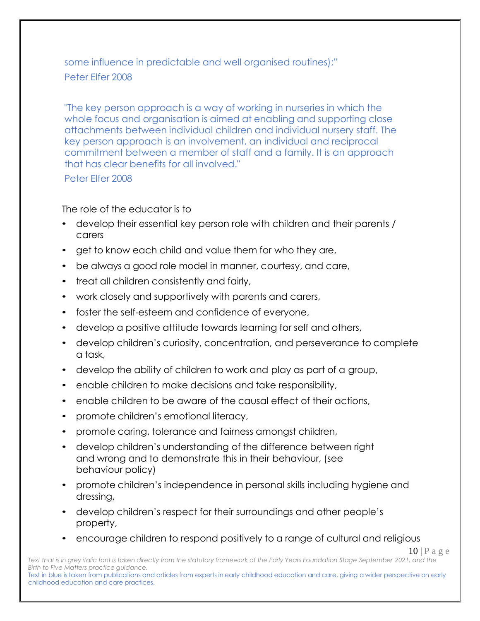some influence in predictable and well organised routines);" Peter Elfer 2008

"The key person approach is a way of working in nurseries in which the whole focus and organisation is aimed at enabling and supporting close attachments between individual children and individual nursery staff. The key person approach is an involvement, an individual and reciprocal commitment between a member of staff and a family. It is an approach that has clear benefits for all involved."

Peter Elfer 2008

The role of the educator is to

- develop their essential key person role with children and their parents / carers
- get to know each child and value them for who they are,
- be always a good role model in manner, courtesy, and care,
- treat all children consistently and fairly,
- work closely and supportively with parents and carers,
- foster the self-esteem and confidence of everyone,
- develop a positive attitude towards learning for self and others,
- develop children's curiosity, concentration, and perseverance to complete a task,
- develop the ability of children to work and play as part of a group,
- enable children to make decisions and take responsibility,
- enable children to be aware of the causal effect of their actions,
- promote children's emotional literacy,
- promote caring, tolerance and fairness amongst children,
- develop children's understanding of the difference between right and wrong and to demonstrate this in their behaviour, (see behaviour policy)
- promote children's independence in personal skills including hygiene and dressing,
- develop children's respect for their surroundings and other people's property,
- encourage children to respond positively to a range of cultural and religious

 $10 | P a e e$ 

Text that is in grey italic font is taken directly from the statutory framework of the Early Years Foundation Stage September 2021, and the *Birth to Five Matters practice guidance.*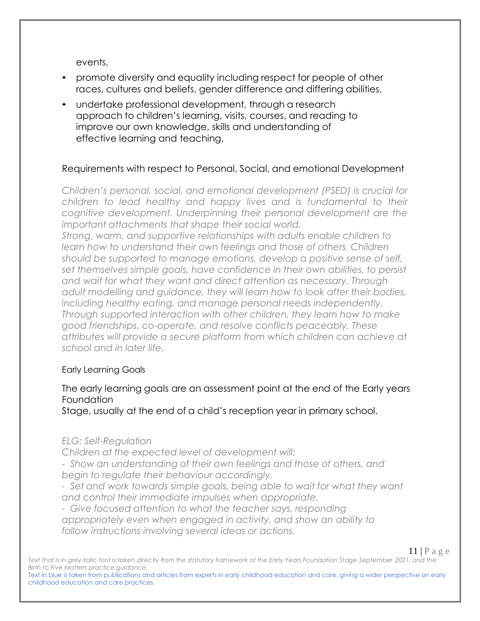events,

- promote diversity and equality including respect for people of other races, cultures and beliefs, gender difference and differing abilities,
- undertake professional development, through a research approach to children's learning, visits, courses, and reading to improve our own knowledge, skills and understanding of effective learning and teaching,

#### Requirements with respect to Personal, Social, and emotional Development

*Children's personal, social, and emotional development (PSED) is crucial for children to lead healthy and happy lives and is fundamental to their cognitive development. Underpinning their personal development are the important attachments that shape their social world.*

*Strong, warm, and supportive relationships with adults enable children to learn how to understand their own feelings and those of others. Children should be supported to manage emotions, develop a positive sense of self, set themselves simple goals, have confidence in their own abilities, to persist and wait for what they want and direct attention as necessary. Through adult modelling and guidance, they will learn how to look after their bodies, including healthy eating, and manage personal needs independently. Through supported interaction with other children, they learn how to make good friendships, co-operate, and resolve conflicts peaceably. These attributes will provide a secure platform from which children can achieve at school and in later life.*

#### Early Learning Goals

#### The early learning goals are an assessment point at the end of the Early years Foundation

Stage, usually at the end of a child's reception year in primary school.

#### *ELG: Self-Regulation*

*Children at the expected level of development will:*

*- Show an understanding of their own feelings and those of others, and begin to regulate their behaviour accordingly.*

*- Set and work towards simple goals, being able to wait for what they want and control their immediate impulses when appropriate.*

*- Give focused attention to what the teacher says, responding appropriately even when engaged in activity, and show an ability to follow instructions involving several ideas or actions.*

Text that is in grey italic font is taken directly from the statutory framework of the Early Years Foundation Stage September 2021, and the *Birth to Five Matters practice guidance.*

Text in blue is taken from publications and articles from experts in early childhood education and care, giving a wider perspective on early childhood education and care practices.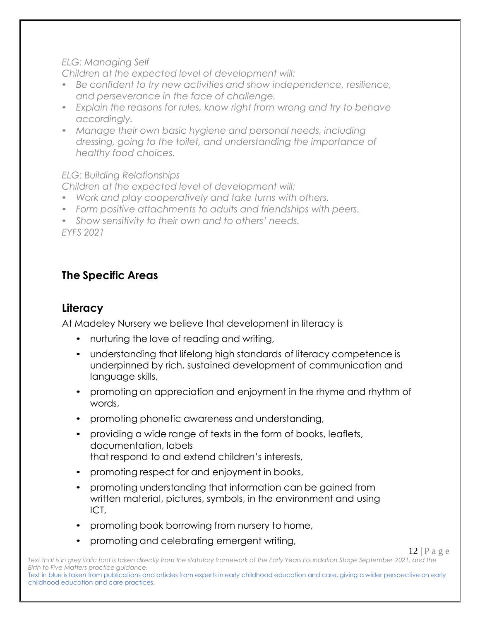#### *ELG: Managing Self*

*Children at the expected level of development will:*

- *Be confident to try new activities and show independence, resilience, and perseverance in the face of challenge.*
- *Explain the reasons for rules, know right from wrong and try to behave accordingly.*
- *Manage their own basic hygiene and personal needs, including dressing, going to the toilet, and understanding the importance of healthy food choices.*

*ELG: Building Relationships*

*Children at the expected level of development will:*

- *Work and play cooperatively and take turns with others.*
- *Form positive attachments to adults and friendships with peers.*
- *Show sensitivity to their own and to others' needs.*

*EYFS 2021*

# **The Specific Areas**

# **Literacy**

At Madeley Nursery we believe that development in literacy is

- nurturing the love of reading and writing,
- understanding that lifelong high standards of literacy competence is underpinned by rich, sustained development of communication and language skills,
- promoting an appreciation and enjoyment in the rhyme and rhythm of words,
- promoting phonetic awareness and understanding,
- providing a wide range of texts in the form of books, leaflets, documentation, labels that respond to and extend children's interests,
- promoting respect for and enjoyment in books,
- promoting understanding that information can be gained from written material, pictures, symbols, in the environment and using ICT,
- promoting book borrowing from nursery to home,
- promoting and celebrating emergent writing,

Text that is in grey italic font is taken directly from the statutory framework of the Early Years Foundation Stage September 2021, and the *Birth to Five Matters practice guidance.*

Text in blue is taken from publications and articles from experts in early childhood education and care, giving a wider perspective on early childhood education and care practices.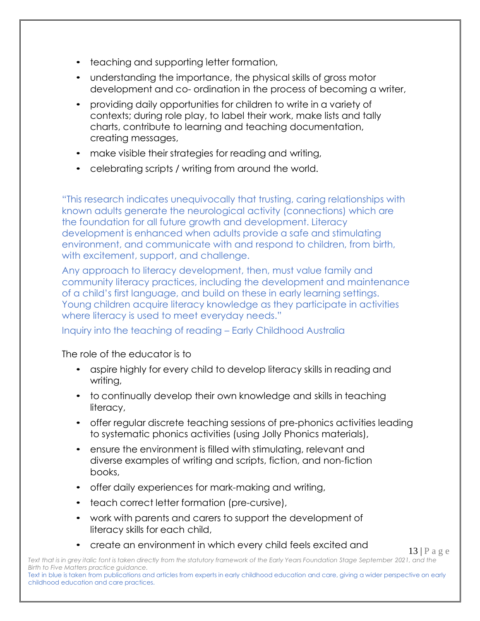- teaching and supporting letter formation,
- understanding the importance, the physical skills of gross motor development and co- ordination in the process of becoming a writer,
- providing daily opportunities for children to write in a variety of contexts; during role play, to label their work, make lists and tally charts, contribute to learning and teaching documentation, creating messages,
- make visible their strategies for reading and writing,
- celebrating scripts / writing from around the world.

"This research indicates unequivocally that trusting, caring relationships with known adults generate the neurological activity (connections) which are the foundation for all future growth and development. Literacy development is enhanced when adults provide a safe and stimulating environment, and communicate with and respond to children, from birth, with excitement, support, and challenge.

Any approach to literacy development, then, must value family and community literacy practices, including the development and maintenance of a child's first language, and build on these in early learning settings. Young children acquire literacy knowledge as they participate in activities where literacy is used to meet everyday needs."

# Inquiry into the teaching of reading – Early Childhood Australia

#### The role of the educator is to

- aspire highly for every child to develop literacy skills in reading and writing,
- to continually develop their own knowledge and skills in teaching literacy,
- offer regular discrete teaching sessions of pre-phonics activities leading to systematic phonics activities (using Jolly Phonics materials),
- ensure the environment is filled with stimulating, relevant and diverse examples of writing and scripts, fiction, and non-fiction books,
- offer daily experiences for mark-making and writing,
- teach correct letter formation (pre-cursive),
- work with parents and carers to support the development of literacy skills for each child,
- create an environment in which every child feels excited and

13 | P a g e

Text that is in grey italic font is taken directly from the statutory framework of the Early Years Foundation Stage September 2021, and the *Birth to Five Matters practice guidance.*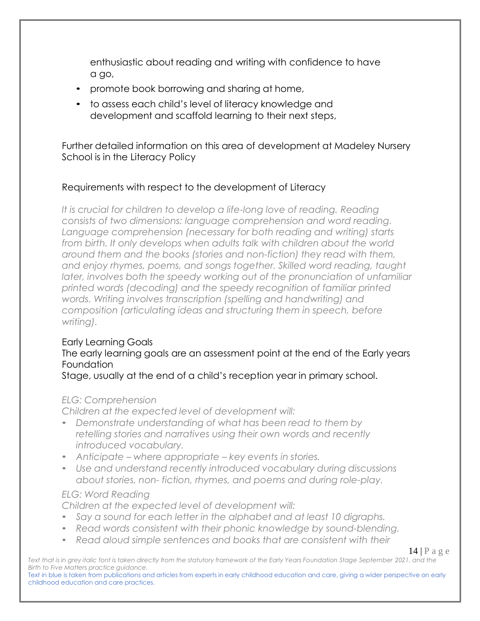enthusiastic about reading and writing with confidence to have a go,

- promote book borrowing and sharing at home,
- to assess each child's level of literacy knowledge and development and scaffold learning to their next steps,

Further detailed information on this area of development at Madeley Nursery School is in the Literacy Policy

# Requirements with respect to the development of Literacy

*It is crucial for children to develop a life-long love of reading. Reading consists of two dimensions: language comprehension and word reading. Language comprehension (necessary for both reading and writing) starts from birth. It only develops when adults talk with children about the world around them and the books (stories and non-fiction) they read with them, and enjoy rhymes, poems, and songs together. Skilled word reading, taught later, involves both the speedy working out of the pronunciation of unfamiliar printed words (decoding) and the speedy recognition of familiar printed words. Writing involves transcription (spelling and handwriting) and composition (articulating ideas and structuring them in speech, before writing).*

#### Early Learning Goals

#### The early learning goals are an assessment point at the end of the Early years Foundation

Stage, usually at the end of a child's reception year in primary school.

#### *ELG: Comprehension*

*Children at the expected level of development will:*

- *Demonstrate understanding of what has been read to them by retelling stories and narratives using their own words and recently introduced vocabulary.*
- *Anticipate – where appropriate – key events in stories.*
- *Use and understand recently introduced vocabulary during discussions about stories, non- fiction, rhymes, and poems and during role-play.*

#### *ELG: Word Reading*

*Children at the expected level of development will:*

- *Say a sound for each letter in the alphabet and at least 10 digraphs.*
- *Read words consistent with their phonic knowledge by sound-blending.*
- *Read aloud simple sentences and books that are consistent with their*

14 | P a g e

Text that is in grey italic font is taken directly from the statutory framework of the Early Years Foundation Stage September 2021, and the *Birth to Five Matters practice guidance.*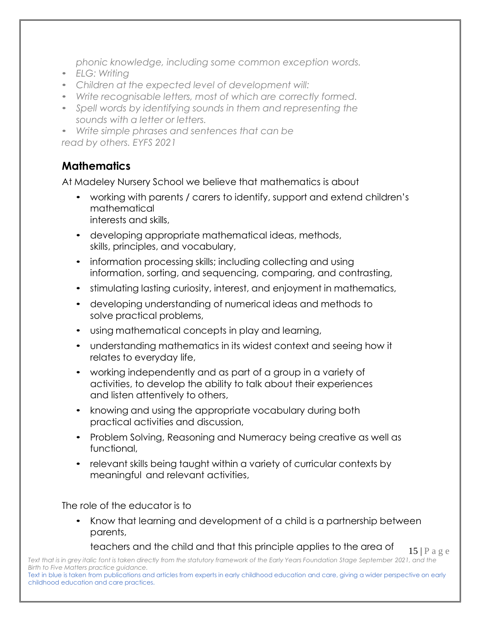*phonic knowledge, including some common exception words.*

- *ELG: Writing*
- *Children at the expected level of development will:*
- *Write recognisable letters, most of which are correctly formed.*
- *Spell words by identifying sounds in them and representing the sounds with a letter or letters.*

• *Write simple phrases and sentences that can be read by others. EYFS 2021*

# **Mathematics**

At Madeley Nursery School we believe that mathematics is about

- working with parents / carers to identify, support and extend children's mathematical interests and skills,
- developing appropriate mathematical ideas, methods, skills, principles, and vocabulary,
- information processing skills; including collecting and using information, sorting, and sequencing, comparing, and contrasting,
- stimulating lasting curiosity, interest, and enjoyment in mathematics,
- developing understanding of numerical ideas and methods to solve practical problems,
- using mathematical concepts in play and learning,
- understanding mathematics in its widest context and seeing how it relates to everyday life,
- working independently and as part of a group in a variety of activities, to develop the ability to talk about their experiences and listen attentively to others,
- knowing and using the appropriate vocabulary during both practical activities and discussion,
- Problem Solving, Reasoning and Numeracy being creative as well as functional,
- relevant skills being taught within a variety of curricular contexts by meaningful and relevant activities,

The role of the educator is to

• Know that learning and development of a child is a partnership between parents,

15 | P a g e teachers and the child and that this principle applies to the area of

Text that is in grey italic font is taken directly from the statutory framework of the Early Years Foundation Stage September 2021, and the *Birth to Five Matters practice guidance.*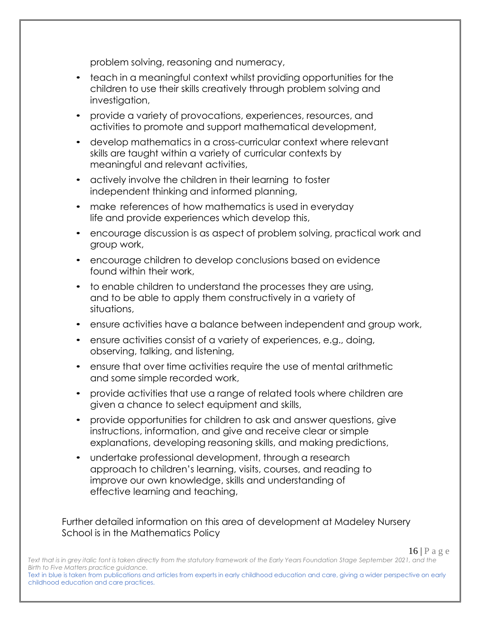problem solving, reasoning and numeracy,

- teach in a meaningful context whilst providing opportunities for the children to use their skills creatively through problem solving and investigation,
- provide a variety of provocations, experiences, resources, and activities to promote and support mathematical development,
- develop mathematics in a cross-curricular context where relevant skills are taught within a variety of curricular contexts by meaningful and relevant activities,
- actively involve the children in their learning to foster independent thinking and informed planning,
- make references of how mathematics is used in everyday life and provide experiences which develop this,
- encourage discussion is as aspect of problem solving, practical work and group work,
- encourage children to develop conclusions based on evidence found within their work,
- to enable children to understand the processes they are using, and to be able to apply them constructively in a variety of situations,
- ensure activities have a balance between independent and group work,
- ensure activities consist of a variety of experiences, e.g., doing, observing, talking, and listening,
- ensure that over time activities require the use of mental arithmetic and some simple recorded work,
- provide activities that use a range of related tools where children are given a chance to select equipment and skills,
- provide opportunities for children to ask and answer questions, give instructions, information, and give and receive clear or simple explanations, developing reasoning skills, and making predictions,
- undertake professional development, through a research approach to children's learning, visits, courses, and reading to improve our own knowledge, skills and understanding of effective learning and teaching,

Further detailed information on this area of development at Madeley Nursery School is in the Mathematics Policy

16 | P a g e

Text that is in grey italic font is taken directly from the statutory framework of the Early Years Foundation Stage September 2021, and the *Birth to Five Matters practice guidance.*

Text in blue is taken from publications and articles from experts in early childhood education and care, giving a wider perspective on early childhood education and care practices.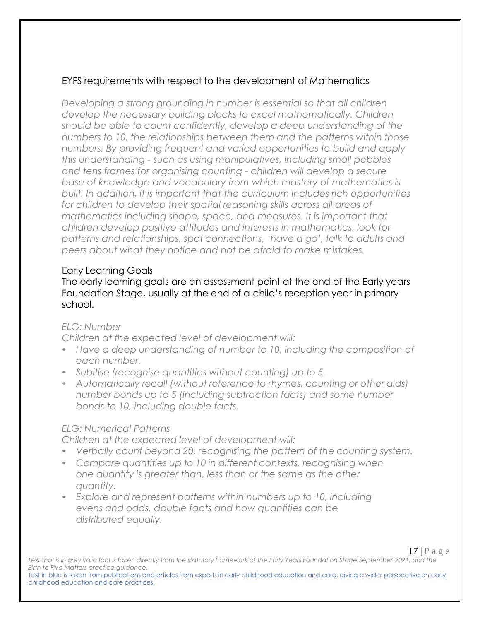# EYFS requirements with respect to the development of Mathematics

*Developing a strong grounding in number is essential so that all children develop the necessary building blocks to excel mathematically. Children should be able to count confidently, develop a deep understanding of the numbers to 10, the relationships between them and the patterns within those numbers. By providing frequent and varied opportunities to build and apply this understanding - such as using manipulatives, including small pebbles and tens frames for organising counting - children will develop a secure base of knowledge and vocabulary from which mastery of mathematics is built. In addition, it is important that the curriculum includes rich opportunities for children to develop their spatial reasoning skills across all areas of mathematics including shape, space, and measures. It is important that children develop positive attitudes and interests in mathematics, look for patterns and relationships, spot connections, 'have a go', talk to adults and peers about what they notice and not be afraid to make mistakes.*

#### Early Learning Goals

The early learning goals are an assessment point at the end of the Early years Foundation Stage, usually at the end of a child's reception year in primary school.

#### *ELG: Number*

*Children at the expected level of development will:*

- *Have a deep understanding of number to 10, including the composition of each number.*
- *Subitise (recognise quantities without counting) up to 5.*
- *Automatically recall (without reference to rhymes, counting or other aids) number bonds up to 5 (including subtraction facts) and some number bonds to 10, including double facts.*

#### *ELG: Numerical Patterns*

*Children at the expected level of development will:*

- *Verbally count beyond 20, recognising the pattern of the counting system.*
- *Compare quantities up to 10 in different contexts, recognising when one quantity is greater than, less than or the same as the other quantity.*
- *Explore and represent patterns within numbers up to 10, including evens and odds, double facts and how quantities can be distributed equally.*

17 | P a g e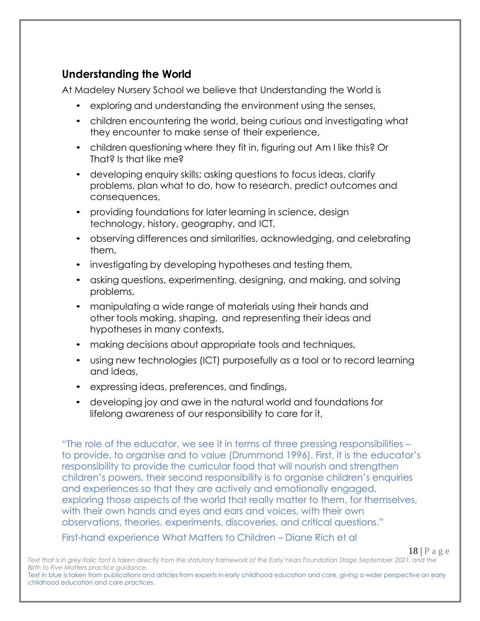# **Understanding the World**

At Madeley Nursery School we believe that Understanding the World is

- exploring and understanding the environment using the senses,
- children encountering the world, being curious and investigating what they encounter to make sense of their experience,
- children questioning where they fit in, figuring out Am I like this? Or That? Is that like me?
- developing enquiry skills; asking questions to focus ideas, clarify problems, plan what to do, how to research, predict outcomes and consequences,
- providing foundations for later learning in science, design technology, history, geography, and ICT,
- observing differences and similarities, acknowledging, and celebrating them,
- investigating by developing hypotheses and testing them,
- asking questions, experimenting, designing, and making, and solving problems,
- manipulating a wide range of materials using their hands and other tools making, shaping, and representing their ideas and hypotheses in many contexts,
- making decisions about appropriate tools and techniques,
- using new technologies (ICT) purposefully as a tool or to record learning and ideas,
- expressing ideas, preferences, and findings,
- developing joy and awe in the natural world and foundations for lifelong awareness of our responsibility to care for it,

"The role of the educator, we see it in terms of three pressing responsibilities – to provide, to organise and to value (Drummond 1996). First, it is the educator's responsibility to provide the curricular food that will nourish and strengthen children's powers, their second responsibility is to organise children's enquiries and experiences so that they are actively and emotionally engaged, exploring those aspects of the world that really matter to them, for themselves, with their own hands and eyes and ears and voices, with their own observations, theories, experiments, discoveries, and critical questions."

First-hand experience What Matters to Children – Diane Rich et al

18 | P a g e

Text that is in grey italic font is taken directly from the statutory framework of the Early Years Foundation Stage September 2021, and the *Birth to Five Matters practice guidance.* Text in blue is taken from publications and articles from experts in early childhood education and care, giving a wider perspective on early childhood education and care practices.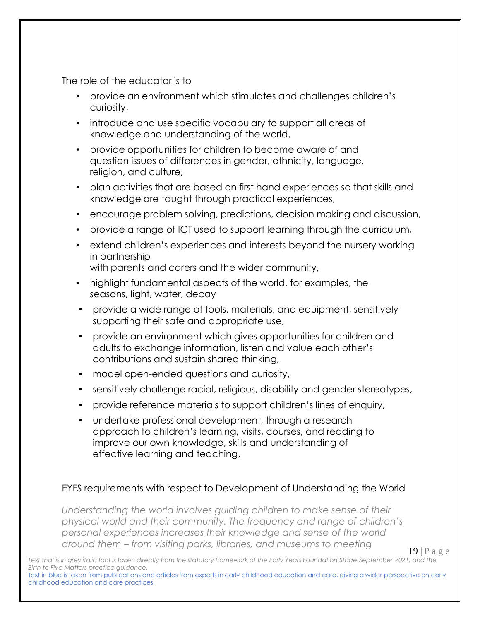The role of the educator is to

- provide an environment which stimulates and challenges children's curiosity,
- introduce and use specific vocabulary to support all areas of knowledge and understanding of the world,
- provide opportunities for children to become aware of and question issues of differences in gender, ethnicity, language, religion, and culture,
- plan activities that are based on first hand experiences so that skills and knowledge are taught through practical experiences,
- encourage problem solving, predictions, decision making and discussion,
- provide a range of ICT used to support learning through the curriculum,
- extend children's experiences and interests beyond the nursery working in partnership with parents and carers and the wider community,
- highlight fundamental aspects of the world, for examples, the seasons, light, water, decay
- provide a wide range of tools, materials, and equipment, sensitively supporting their safe and appropriate use,
- provide an environment which gives opportunities for children and adults to exchange information, listen and value each other's contributions and sustain shared thinking,
- model open-ended questions and curiosity,
- sensitively challenge racial, religious, disability and gender stereotypes,
- provide reference materials to support children's lines of enquiry,
- undertake professional development, through a research approach to children's learning, visits, courses, and reading to improve our own knowledge, skills and understanding of effective learning and teaching,

# EYFS requirements with respect to Development of Understanding the World

*Understanding the world involves guiding children to make sense of their physical world and their community. The frequency and range of children's personal experiences increases their knowledge and sense of the world around them – from visiting parks, libraries, and museums to meeting* 

19 | P a g e

Text that is in grey italic font is taken directly from the statutory framework of the Early Years Foundation Stage September 2021, and the *Birth to Five Matters practice guidance.*

Text in blue is taken from publications and articles from experts in early childhood education and care, giving a wider perspective on early childhood education and care practices.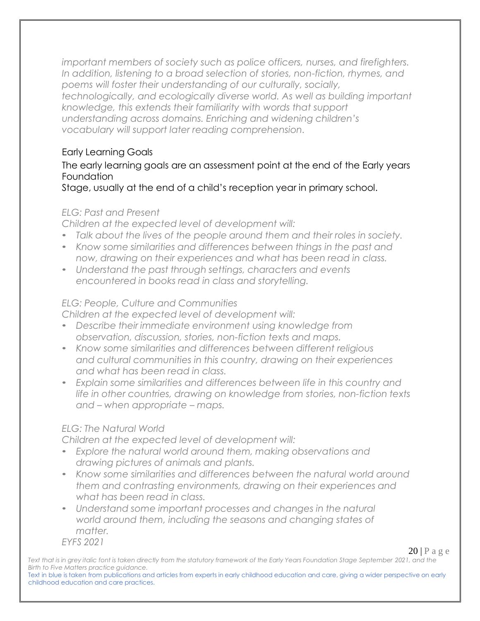*important members of society such as police officers, nurses, and firefighters. In addition, listening to a broad selection of stories, non-fiction, rhymes, and poems will foster their understanding of our culturally, socially, technologically, and ecologically diverse world. As well as building important knowledge, this extends their familiarity with words that support understanding across domains. Enriching and widening children's vocabulary will support later reading comprehension.*

# Early Learning Goals

# The early learning goals are an assessment point at the end of the Early years **Foundation**

Stage, usually at the end of a child's reception year in primary school.

# *ELG: Past and Present*

*Children at the expected level of development will:*

- *Talk about the lives of the people around them and their roles in society.*
- *Know some similarities and differences between things in the past and now, drawing on their experiences and what has been read in class.*
- *Understand the past through settings, characters and events encountered in books read in class and storytelling.*

# *ELG: People, Culture and Communities*

*Children at the expected level of development will:*

- *Describe their immediate environment using knowledge from observation, discussion, stories, non-fiction texts and maps.*
- *Know some similarities and differences between different religious and cultural communities in this country, drawing on their experiences and what has been read in class.*
- *Explain some similarities and differences between life in this country and life in other countries, drawing on knowledge from stories, non-fiction texts and – when appropriate – maps.*

# *ELG: The Natural World*

*Children at the expected level of development will:*

- *Explore the natural world around them, making observations and drawing pictures of animals and plants.*
- *Know some similarities and differences between the natural world around them and contrasting environments, drawing on their experiences and what has been read in class.*
- *Understand some important processes and changes in the natural world around them, including the seasons and changing states of matter.*

*EYFS 2021*

 $20$  | P a g e

Text that is in grey italic font is taken directly from the statutory framework of the Early Years Foundation Stage September 2021, and the *Birth to Five Matters practice guidance.* Text in blue is taken from publications and articles from experts in early childhood education and care, giving a wider perspective on early childhood education and care practices.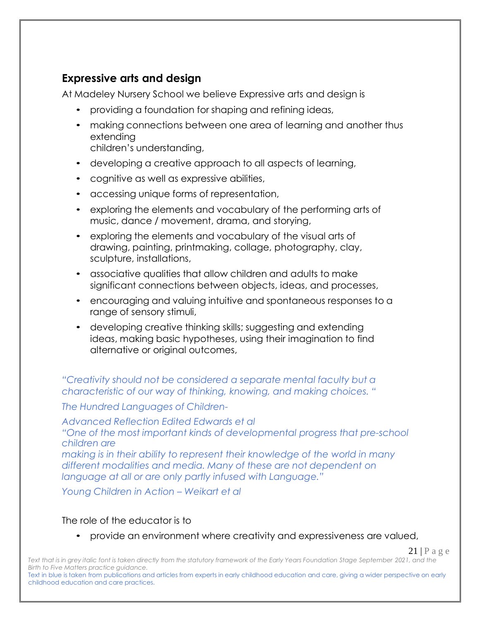# **Expressive arts and design**

At Madeley Nursery School we believe Expressive arts and design is

- providing a foundation for shaping and refining ideas,
- making connections between one area of learning and another thus extending children's understanding,
- developing a creative approach to all aspects of learning,
- cognitive as well as expressive abilities,
- accessing unique forms of representation,
- exploring the elements and vocabulary of the performing arts of music, dance / movement, drama, and storying,
- exploring the elements and vocabulary of the visual arts of drawing, painting, printmaking, collage, photography, clay, sculpture, installations,
- associative qualities that allow children and adults to make significant connections between objects, ideas, and processes,
- encouraging and valuing intuitive and spontaneous responses to a range of sensory stimuli,
- developing creative thinking skills; suggesting and extending ideas, making basic hypotheses, using their imagination to find alternative or original outcomes,

*"Creativity should not be considered a separate mental faculty but a characteristic of our way of thinking, knowing, and making choices. "*

*The Hundred Languages of Children-*

*Advanced Reflection Edited Edwards et al "One of the most important kinds of developmental progress that pre-school children are making is in their ability to represent their knowledge of the world in many different modalities and media. Many of these are not dependent on language at all or are only partly infused with Language."*

*Young Children in Action – Weikart et al*

# The role of the educator is to

• provide an environment where creativity and expressiveness are valued,

 $21$  | P a g e

Text that is in grey italic font is taken directly from the statutory framework of the Early Years Foundation Stage September 2021, and the *Birth to Five Matters practice guidance.*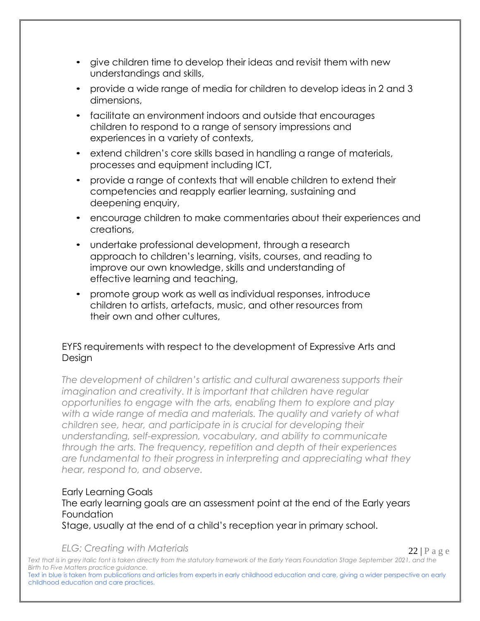- give children time to develop their ideas and revisit them with new understandings and skills,
- provide a wide range of media for children to develop ideas in 2 and 3 dimensions,
- facilitate an environment indoors and outside that encourages children to respond to a range of sensory impressions and experiences in a variety of contexts,
- extend children's core skills based in handling a range of materials, processes and equipment including ICT,
- provide a range of contexts that will enable children to extend their competencies and reapply earlier learning, sustaining and deepening enquiry,
- encourage children to make commentaries about their experiences and creations,
- undertake professional development, through a research approach to children's learning, visits, courses, and reading to improve our own knowledge, skills and understanding of effective learning and teaching,
- promote group work as well as individual responses, introduce children to artists, artefacts, music, and other resources from their own and other cultures,

# EYFS requirements with respect to the development of Expressive Arts and Design

*The development of children's artistic and cultural awareness supports their imagination and creativity. It is important that children have regular opportunities to engage with the arts, enabling them to explore and play*  with a wide range of media and materials. The quality and variety of what *children see, hear, and participate in is crucial for developing their understanding, self-expression, vocabulary, and ability to communicate through the arts. The frequency, repetition and depth of their experiences are fundamental to their progress in interpreting and appreciating what they hear, respond to, and observe.*

#### Early Learning Goals

# The early learning goals are an assessment point at the end of the Early years **Foundation**

Stage, usually at the end of a child's reception year in primary school.

#### *ELG: Creating with Materials*

 $22$  | P a g e

Text that is in grey italic font is taken directly from the statutory framework of the Early Years Foundation Stage September 2021, and the *Birth to Five Matters practice guidance.*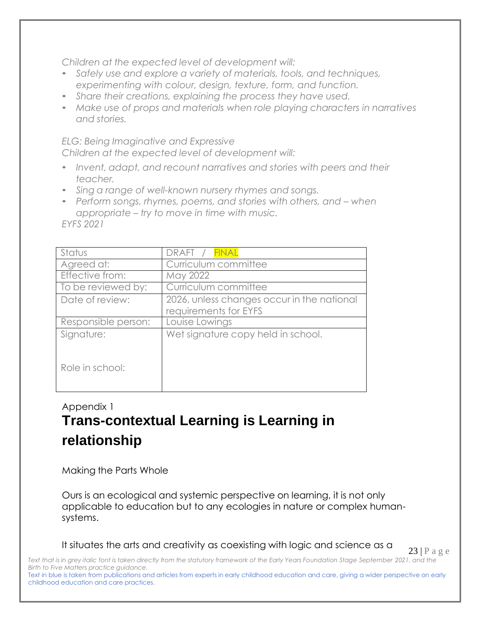*Children at the expected level of development will:*

- *Safely use and explore a variety of materials, tools, and techniques, experimenting with colour, design, texture, form, and function.*
- *Share their creations, explaining the process they have used.*
- *Make use of props and materials when role playing characters in narratives and stories.*

*ELG: Being Imaginative and Expressive Children at the expected level of development will:*

- *Invent, adapt, and recount narratives and stories with peers and their teacher.*
- *Sing a range of well-known nursery rhymes and songs.*
- *Perform songs, rhymes, poems, and stories with others, and – when appropriate – try to move in time with music. EYFS 2021*

| Status              | DRAFT / FINAL                                                       |
|---------------------|---------------------------------------------------------------------|
| Agreed at:          | Curriculum committee                                                |
| Effective from:     | May 2022                                                            |
| To be reviewed by:  | Curriculum committee                                                |
| Date of review:     | 2026, unless changes occur in the national<br>requirements for EYFS |
| Responsible person: | Louise Lowings                                                      |
| Signature:          | Wet signature copy held in school.                                  |
| Role in school:     |                                                                     |

# Appendix 1 **Trans-contextual Learning is Learning in relationship**

Making the Parts Whole

Ours is an ecological and systemic perspective on learning, it is not only applicable to education but to any ecologies in nature or complex humansystems.

It situates the arts and creativity as coexisting with logic and science as a

23 | P a g e

Text that is in grey italic font is taken directly from the statutory framework of the Early Years Foundation Stage September 2021, and the *Birth to Five Matters practice guidance.*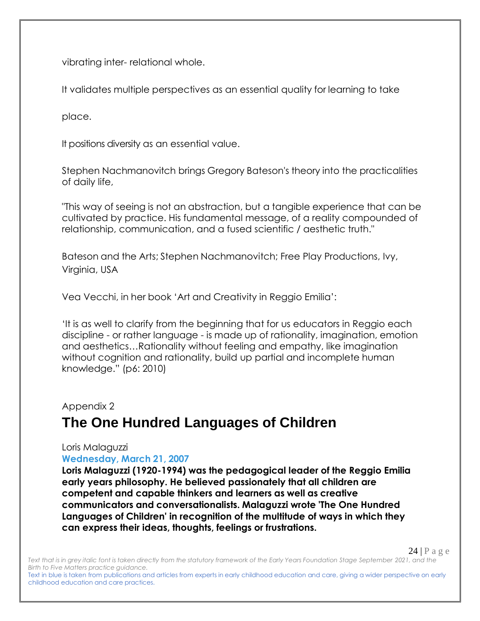vibrating inter- relational whole.

It validates multiple perspectives as an essential quality for learning to take

place.

It positions diversity as an essential value.

Stephen Nachmanovitch brings Gregory Bateson's theory into the practicalities of daily life,

"This way of seeing is not an abstraction, but a tangible experience that can be cultivated by practice. His fundamental message, of a reality compounded of relationship, communication, and a fused scientific / aesthetic truth."

Bateson and the Arts; Stephen Nachmanovitch; Free Play Productions, Ivy, Virginia, USA

Vea Vecchi, in her book 'Art and Creativity in Reggio Emilia':

'It is as well to clarify from the beginning that for us educators in Reggio each discipline - or rather language - is made up of rationality, imagination, emotion and aesthetics…Rationality without feeling and empathy, like imagination without cognition and rationality, build up partial and incomplete human knowledge." (p6: 2010)

#### Appendix 2

# **The One Hundred Languages of Children**

#### Loris Malaguzzi **Wednesday, March 21, 2007**

**Loris Malaguzzi (1920-1994) was the pedagogical leader of the Reggio Emilia early years philosophy. He believed passionately that all children are competent and capable thinkers and learners as well as creative communicators and conversationalists. Malaguzzi wrote 'The One Hundred Languages of Children' in recognition of the multitude of ways in which they can express their ideas, thoughts, feelings or frustrations.**

 $24$  | P a g e

Text that is in grey italic font is taken directly from the statutory framework of the Early Years Foundation Stage September 2021, and the *Birth to Five Matters practice guidance.*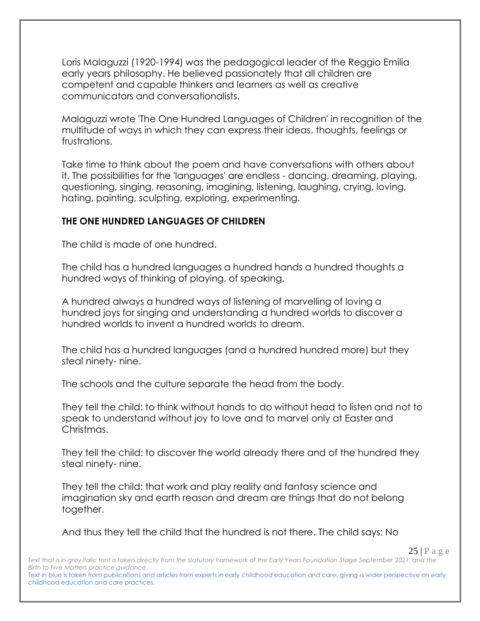Loris Malaguzzi (1920-1994) was the pedagogical leader of the Reggio Emilia early years philosophy. He believed passionately that all children are competent and capable thinkers and learners as well as creative communicators and conversationalists.

Malaguzzi wrote 'The One Hundred Languages of Children' in recognition of the multitude of ways in which they can express their ideas, thoughts, feelings or frustrations.

Take time to think about the poem and have conversations with others about it. The possibilities for the 'languages' are endless - dancing, dreaming, playing, questioning, singing, reasoning, imagining, listening, laughing, crying, loving, hating, painting, sculpting, exploring, experimenting.

#### **THE ONE HUNDRED LANGUAGES OF CHILDREN**

The child is made of one hundred.

The child has a hundred languages a hundred hands a hundred thoughts a hundred ways of thinking of playing, of speaking.

A hundred always a hundred ways of listening of marvelling of loving a hundred joys for singing and understanding a hundred worlds to discover a hundred worlds to invent a hundred worlds to dream.

The child has a hundred languages (and a hundred hundred more) but they steal ninety- nine.

The schools and the culture separate the head from the body.

They tell the child: to think without hands to do without head to listen and not to speak to understand without joy to love and to marvel only at Easter and Christmas.

They tell the child: to discover the world already there and of the hundred they steal ninety- nine.

They tell the child: that work and play reality and fantasy science and imagination sky and earth reason and dream are things that do not belong together.

And thus they tell the child that the hundred is not there. The child says: No

Text that is in grey italic font is taken directly from the statutory framework of the Early Years Foundation Stage September 2021, and the *Birth to Five Matters practice guidance.* Text in blue is taken from publications and articles from experts in early childhood education and care, giving a wider perspective on early childhood education and care practices.